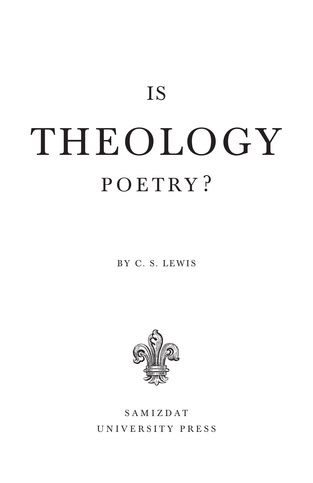# IS THEOLOGY POETRY?

BY C. S. LEWIS



## SAMIZDAT u n i ver sit y Pre ss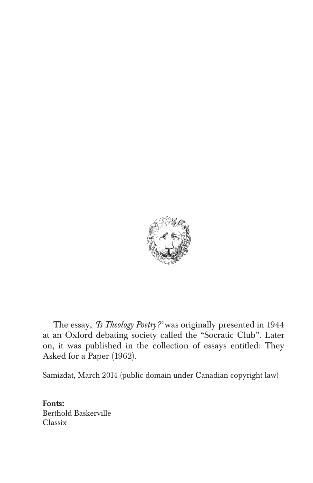

The essay, *'Is Theology Poetry?'* was originally presented in 1944 at an Oxford debating society called the "Socratic Club". Later on, it was published in the collection of essays entitled: They Asked for a Paper (1962).

Samizdat, March 2014 (public domain under [Canadian copyright law\)](http://laws-lois.justice.gc.ca/eng/acts/C-42/page-6.html#h-6)

Fonts: Berthold Baskerville Classix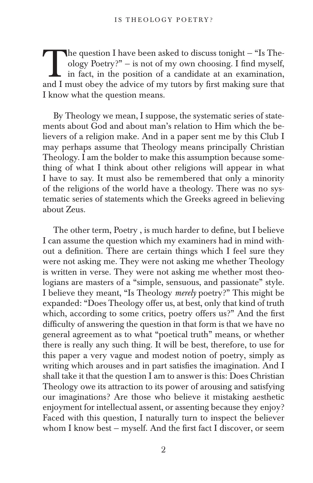The question I have been asked to discuss tonight – "Is Theology Poetry?" — is not of my own choosing. I find myself, in fact, in the position of a candidate at an examination, and I must obey the advice of my tutors by first making sure that I know what the question means.

By Theology we mean, I suppose, the systematic series of statements about God and about man's relation to Him which the believers of a religion make. And in a paper sent me by this Club I may perhaps assume that Theology means principally Christian Theology. I am the bolder to make this assumption because something of what I think about other religions will appear in what I have to say. It must also be remembered that only a minority of the religions of the world have a theology. There was no systematic series of statements which the Greeks agreed in believing about Zeus.

The other term, Poetry , is much harder to define, but I believe I can assume the question which my examiners had in mind without a definition. There are certain things which I feel sure they were not asking me. They were not asking me whether Theology is written in verse. They were not asking me whether most theologians are masters of a "simple, sensuous, and passionate" style. I believe they meant, "Is Theology *merely* poetry?" This might be expanded: "Does Theology offer us, at best, only that kind of truth which, according to some critics, poetry offers us?" And the first difficulty of answering the question in that form is that we have no general agreement as to what "poetical truth" means, or whether there is really any such thing. It will be best, therefore, to use for this paper a very vague and modest notion of poetry, simply as writing which arouses and in part satisfies the imagination. And I shall take it that the question I am to answer is this: Does Christian Theology owe its attraction to its power of arousing and satisfying our imaginations? Are those who believe it mistaking aesthetic enjoyment for intellectual assent, or assenting because they enjoy? Faced with this question, I naturally turn to inspect the believer whom I know best — myself. And the first fact I discover, or seem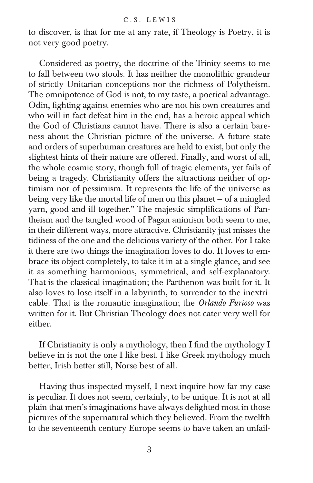to discover, is that for me at any rate, if Theology is Poetry, it is not very good poetry.

Considered as poetry, the doctrine of the Trinity seems to me to fall between two stools. It has neither the monolithic grandeur of strictly Unitarian conceptions nor the richness of Polytheism. The omnipotence of God is not, to my taste, a poetical advantage. Odin, fighting against enemies who are not his own creatures and who will in fact defeat him in the end, has a heroic appeal which the God of Christians cannot have. There is also a certain bareness about the Christian picture of the universe. A future state and orders of superhuman creatures are held to exist, but only the slightest hints of their nature are offered. Finally, and worst of all, the whole cosmic story, though full of tragic elements, yet fails of being a tragedy. Christianity offers the attractions neither of optimism nor of pessimism. It represents the life of the universe as being very like the mortal life of men on this planet — of a mingled yarn, good and ill together." The majestic simplifications of Pantheism and the tangled wood of Pagan animism both seem to me, in their different ways, more attractive. Christianity just misses the tidiness of the one and the delicious variety of the other. For I take it there are two things the imagination loves to do. It loves to embrace its object completely, to take it in at a single glance, and see it as something harmonious, symmetrical, and self-explanatory. That is the classical imagination; the Parthenon was built for it. It also loves to lose itself in a labyrinth, to surrender to the inextricable. That is the romantic imagination; the *Orlando Furioso* was written for it. But Christian Theology does not cater very well for either.

If Christianity is only a mythology, then I find the mythology I believe in is not the one I like best. I like Greek mythology much better, Irish better still, Norse best of all.

Having thus inspected myself, I next inquire how far my case is peculiar. It does not seem, certainly, to be unique. It is not at all plain that men's imaginations have always delighted most in those pictures of the supernatural which they believed. From the twelfth to the seventeenth century Europe seems to have taken an unfail-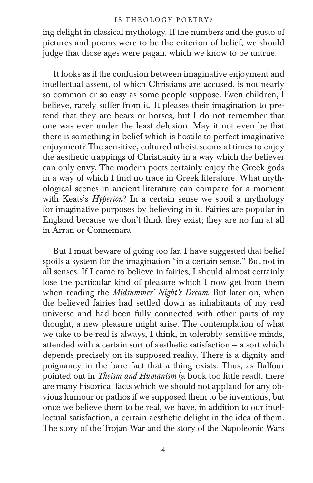#### IS THEOLOGY POETRY?

ing delight in classical mythology. If the numbers and the gusto of pictures and poems were to be the criterion of belief, we should judge that those ages were pagan, which we know to be untrue.

It looks as if the confusion between imaginative enjoyment and intellectual assent, of which Christians are accused, is not nearly so common or so easy as some people suppose. Even children, I believe, rarely suffer from it. It pleases their imagination to pretend that they are bears or horses, but I do not remember that one was ever under the least delusion. May it not even be that there is something in belief which is hostile to perfect imaginative enjoyment? The sensitive, cultured atheist seems at times to enjoy the aesthetic trappings of Christianity in a way which the believer can only envy. The modern poets certainly enjoy the Greek gods in a way of which I find no trace in Greek literature. What mythological scenes in ancient literature can compare for a moment with Keats's *Hyperion*? In a certain sense we spoil a mythology for imaginative purposes by believing in it. Fairies are popular in England because we don't think they exist; they are no fun at all in Arran or Connemara.

But I must beware of going too far. I have suggested that belief spoils a system for the imagination "in a certain sense." But not in all senses. If I came to believe in fairies, I should almost certainly lose the particular kind of pleasure which I now get from them when reading the *Midsummer' Night's Dream*. But later on, when the believed fairies had settled down as inhabitants of my real universe and had been fully connected with other parts of my thought, a new pleasure might arise. The contemplation of what we take to be real is always, I think, in tolerably sensitive minds, attended with a certain sort of aesthetic satisfaction — a sort which depends precisely on its supposed reality. There is a dignity and poignancy in the bare fact that a thing exists. Thus, as Balfour pointed out in *Theism and Humanism* (a book too little read), there are many historical facts which we should not applaud for any obvious humour or pathos if we supposed them to be inventions; but once we believe them to be real, we have, in addition to our intellectual satisfaction, a certain aesthetic delight in the idea of them. The story of the Trojan War and the story of the Napoleonic Wars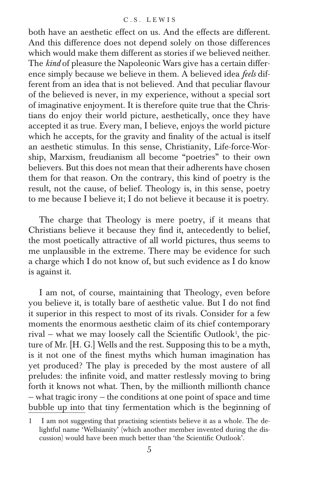#### C.S. L e w is

both have an aesthetic effect on us. And the effects are different. And this difference does not depend solely on those differences which would make them different as stories if we believed neither. The *kind* of pleasure the Napoleonic Wars give has a certain difference simply because we believe in them. A believed idea *feels* different from an idea that is not believed. And that peculiar flavour of the believed is never, in my experience, without a special sort of imaginative enjoyment. It is therefore quite true that the Christians do enjoy their world picture, aesthetically, once they have accepted it as true. Every man, I believe, enjoys the world picture which he accepts, for the gravity and finality of the actual is itself an aesthetic stimulus. In this sense, Christianity, Life-force-Worship, Marxism, freudianism all become "poetries" to their own believers. But this does not mean that their adherents have chosen them for that reason. On the contrary, this kind of poetry is the result, not the cause, of belief. Theology is, in this sense, poetry to me because I believe it; I do not believe it because it is poetry.

The charge that Theology is mere poetry, if it means that Christians believe it because they find it, antecedently to belief, the most poetically attractive of all world pictures, thus seems to me unplausible in the extreme. There may be evidence for such a charge which I do not know of, but such evidence as I do know is against it.

I am not, of course, maintaining that Theology, even before you believe it, is totally bare of aesthetic value. But I do not find it superior in this respect to most of its rivals. Consider for a few moments the enormous aesthetic claim of its chief contemporary rival – what we may loosely call the Scientific Outlook<sup>1</sup>, the picture of Mr. [H. G.] Wells and the rest. Supposing this to be a myth, is it not one of the finest myths which human imagination has yet produced? The play is preceded by the most austere of all preludes: the infinite void, and matter restlessly moving to bring forth it knows not what. Then, by the millionth millionth chance — what tragic irony — the conditions at one point of space and time bubble up into that tiny fermentation which is the beginning of

<sup>1</sup> I am not suggesting that practising scientists believe it as a whole. The delightful name 'Wellsianity' (which another member invented during the discussion) would have been much better than 'the Scientific Outlook'.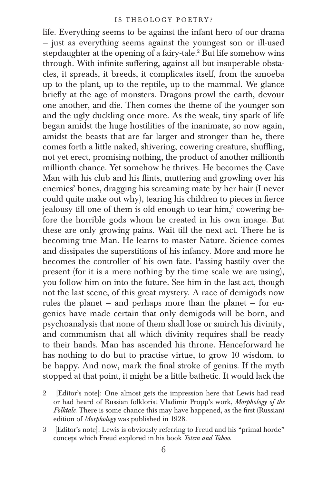life. Everything seems to be against the infant hero of our drama — just as everything seems against the youngest son or ill-used stepdaughter at the opening of a fairy-tale.<sup>2</sup> But life somehow wins through. With infinite suffering, against all but insuperable obstacles, it spreads, it breeds, it complicates itself, from the amoeba up to the plant, up to the reptile, up to the mammal. We glance briefly at the age of monsters. Dragons prowl the earth, devour one another, and die. Then comes the theme of the younger son and the ugly duckling once more. As the weak, tiny spark of life began amidst the huge hostilities of the inanimate, so now again, amidst the beasts that are far larger and stronger than he, there comes forth a little naked, shivering, cowering creature, shuffling, not yet erect, promising nothing, the product of another millionth millionth chance. Yet somehow he thrives. He becomes the Cave Man with his club and his flints, muttering and growling over his enemies' bones, dragging his screaming mate by her hair (I never could quite make out why), tearing his children to pieces in fierce jealousy till one of them is old enough to tear him, $3$  cowering before the horrible gods whom he created in his own image. But these are only growing pains. Wait till the next act. There he is becoming true Man. He learns to master Nature. Science comes and dissipates the superstitions of his infancy. More and more he becomes the controller of his own fate. Passing hastily over the present (for it is a mere nothing by the time scale we are using), you follow him on into the future. See him in the last act, though not the last scene, of this great mystery. A race of demigods now rules the planet — and perhaps more than the planet — for eugenics have made certain that only demigods will be born, and psychoanalysis that none of them shall lose or smirch his divinity, and communism that all which divinity requires shall be ready to their hands. Man has ascended his throne. Henceforward he has nothing to do but to practise virtue, to grow 10 wisdom, to be happy. And now, mark the final stroke of genius. If the myth stopped at that point, it might be a little bathetic. It would lack the

<sup>2 [</sup>Editor's note]: One almost gets the impression here that Lewis had read or had heard of Russian folklorist Vladimir Propp's work, *Morphology of the Folktale*. There is some chance this may have happened, as the first (Russian) edition of *Morphology* was published in 1928.

<sup>3 [</sup>Editor's note]: Lewis is obviously referring to Freud and his "primal horde" concept which Freud explored in his book *Totem and Taboo*.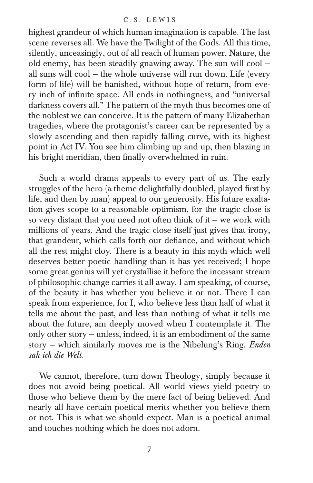#### C.S. LEWIS

highest grandeur of which human imagination is capable. The last scene reverses all. We have the Twilight of the Gods. All this time, silently, unceasingly, out of all reach of human power, Nature, the old enemy, has been steadily gnawing away. The sun will cool all suns will cool — the whole universe will run down. Life (every form of life) will be banished, without hope of return, from every inch of infinite space. All ends in nothingness, and "universal darkness covers all." The pattern of the myth thus becomes one of the noblest we can conceive. It is the pattern of many Elizabethan tragedies, where the protagonist's career can be represented by a slowly ascending and then rapidly falling curve, with its highest point in Act IV. You see him climbing up and up, then blazing in his bright meridian, then finally overwhelmed in ruin.

Such a world drama appeals to every part of us. The early struggles of the hero (a theme delightfully doubled, played first by life, and then by man) appeal to our generosity. His future exaltation gives scope to a reasonable optimism, for the tragic close is so very distant that you need not often think of it — we work with millions of years. And the tragic close itself just gives that irony, that grandeur, which calls forth our defiance, and without which all the rest might cloy. There is a beauty in this myth which well deserves better poetic handling than it has yet received; I hope some great genius will yet crystallise it before the incessant stream of philosophic change carries it all away. I am speaking, of course, of the beauty it has whether you believe it or not. There I can speak from experience, for I, who believe less than half of what it tells me about the past, and less than nothing of what it tells me about the future, am deeply moved when I contemplate it. The only other story — unless, indeed, it is an embodiment of the same story — which similarly moves me is the Nibelung's Ring. *Enden sah ich die Welt*.

We cannot, therefore, turn down Theology, simply because it does not avoid being poetical. All world views yield poetry to those who believe them by the mere fact of being believed. And nearly all have certain poetical merits whether you believe them or not. This is what we should expect. Man is a poetical animal and touches nothing which he does not adorn.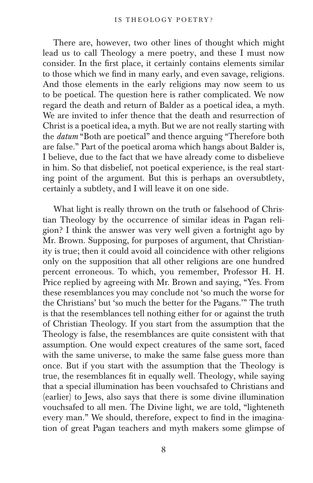There are, however, two other lines of thought which might lead us to call Theology a mere poetry, and these I must now consider. In the first place, it certainly contains elements similar to those which we find in many early, and even savage, religions. And those elements in the early religions may now seem to us to be poetical. The question here is rather complicated. We now regard the death and return of Balder as a poetical idea, a myth. We are invited to infer thence that the death and resurrection of Christ is a poetical idea, a myth. But we are not really starting with the *datum* "Both are poetical" and thence arguing "Therefore both are false." Part of the poetical aroma which hangs about Balder is, I believe, due to the fact that we have already come to disbelieve in him. So that disbelief, not poetical experience, is the real starting point of the argument. But this is perhaps an oversubtlety, certainly a subtlety, and I will leave it on one side.

What light is really thrown on the truth or falsehood of Christian Theology by the occurrence of similar ideas in Pagan religion? I think the answer was very well given a fortnight ago by Mr. Brown. Supposing, for purposes of argument, that Christianity is true; then it could avoid all coincidence with other religions only on the supposition that all other religions are one hundred percent erroneous. To which, you remember, Professor H. H. Price replied by agreeing with Mr. Brown and saying, "Yes. From these resemblances you may conclude not 'so much the worse for the Christians' but 'so much the better for the Pagans.'" The truth is that the resemblances tell nothing either for or against the truth of Christian Theology. If you start from the assumption that the Theology is false, the resemblances are quite consistent with that assumption. One would expect creatures of the same sort, faced with the same universe, to make the same false guess more than once. But if you start with the assumption that the Theology is true, the resemblances fit in equally well. Theology, while saying that a special illumination has been vouchsafed to Christians and (earlier) to Jews, also says that there is some divine illumination vouchsafed to all men. The Divine light, we are told, "lighteneth every man." We should, therefore, expect to find in the imagination of great Pagan teachers and myth makers some glimpse of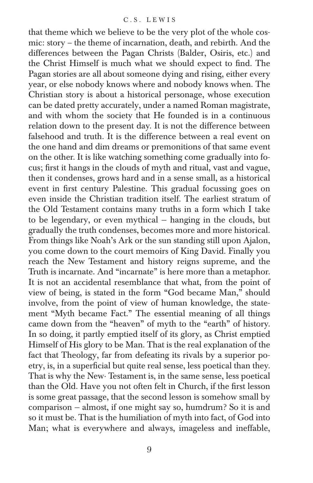that theme which we believe to be the very plot of the whole cosmic: story – the theme of incarnation, death, and rebirth. And the differences between the Pagan Christs (Balder, Osiris, etc.) and the Christ Himself is much what we should expect to find. The Pagan stories are all about someone dying and rising, either every year, or else nobody knows where and nobody knows when. The Christian story is about a historical personage, whose execution can be dated pretty accurately, under a named Roman magistrate, and with whom the society that He founded is in a continuous relation down to the present day. It is not the difference between falsehood and truth. It is the difference between a real event on the one hand and dim dreams or premonitions of that same event on the other. It is like watching something come gradually into focus; first it hangs in the clouds of myth and ritual, vast and vague, then it condenses, grows hard and in a sense small, as a historical event in first century Palestine. This gradual focussing goes on even inside the Christian tradition itself. The earliest stratum of the Old Testament contains many truths in a form which I take to be legendary, or even mythical — hanging in the clouds, but gradually the truth condenses, becomes more and more historical. From things like Noah's Ark or the sun standing still upon Ajalon, you come down to the court memoirs of King David. Finally you reach the New Testament and history reigns supreme, and the Truth is incarnate. And "incarnate" is here more than a metaphor. It is not an accidental resemblance that what, from the point of view of being, is stated in the form "God became Man," should involve, from the point of view of human knowledge, the statement "Myth became Fact." The essential meaning of all things came down from the "heaven" of myth to the "earth" of history. In so doing, it partly emptied itself of its glory, as Christ emptied Himself of His glory to be Man. That is the real explanation of the fact that Theology, far from defeating its rivals by a superior poetry, is, in a superficial but quite real sense, less poetical than they. That is why the New· Testament is, in the same sense, less poetical than the Old. Have you not often felt in Church, if the first lesson is some great passage, that the second lesson is somehow small by comparison — almost, if one might say so, humdrum? So it is and so it must be. That is the humiliation of myth into fact, of God into Man; what is everywhere and always, imageless and ineffable,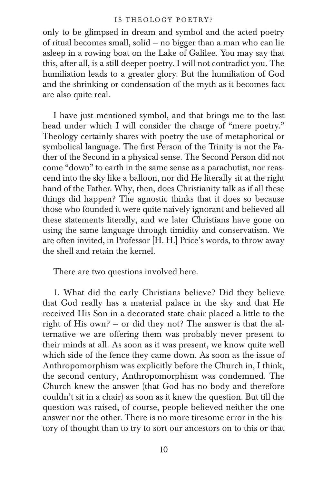#### IS THEOLOGY POETRY?

only to be glimpsed in dream and symbol and the acted poetry of ritual becomes small, solid — no bigger than a man who can lie asleep in a rowing boat on the Lake of Galilee. You may say that this, after all, is a still deeper poetry. I will not contradict you. The humiliation leads to a greater glory. But the humiliation of God and the shrinking or condensation of the myth as it becomes fact are also quite real.

I have just mentioned symbol, and that brings me to the last head under which I will consider the charge of "mere poetry." Theology certainly shares with poetry the use of metaphorical or symbolical language. The first Person of the Trinity is not the Father of the Second in a physical sense. The Second Person did not come "down" to earth in the same sense as a parachutist, nor reascend into the sky like a balloon, nor did He literally sit at the right hand of the Father. Why, then, does Christianity talk as if all these things did happen? The agnostic thinks that it does so because those who founded it were quite naively ignorant and believed all these statements literally, and we later Christians have gone on using the same language through timidity and conservatism. We are often invited, in Professor [H. H.] Price's words, to throw away the shell and retain the kernel.

There are two questions involved here.

1. What did the early Christians believe? Did they believe that God really has a material palace in the sky and that He received His Son in a decorated state chair placed a little to the right of His own? — or did they not? The answer is that the alternative we are offering them was probably never present to their minds at all. As soon as it was present, we know quite well which side of the fence they came down. As soon as the issue of Anthropomorphism was explicitly before the Church in, I think, the second century, Anthropomorphism was condemned. The Church knew the answer (that God has no body and therefore couldn't sit in a chair) as soon as it knew the question. But till the question was raised, of course, people believed neither the one answer nor the other. There is no more tiresome error in the history of thought than to try to sort our ancestors on to this or that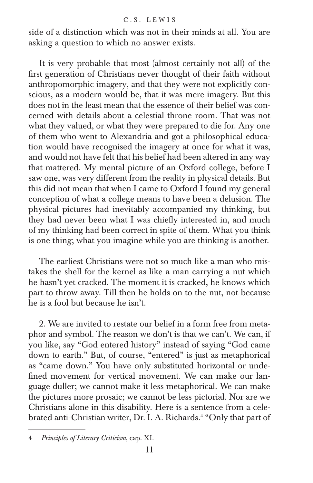#### C.S. LEWIS

side of a distinction which was not in their minds at all. You are asking a question to which no answer exists.

It is very probable that most (almost certainly not all) of the first generation of Christians never thought of their faith without anthropomorphic imagery, and that they were not explicitly conscious, as a modern would be, that it was mere imagery. But this does not in the least mean that the essence of their belief was concerned with details about a celestial throne room. That was not what they valued, or what they were prepared to die for. Any one of them who went to Alexandria and got a philosophical education would have recognised the imagery at once for what it was, and would not have felt that his belief had been altered in any way that mattered. My mental picture of an Oxford college, before I saw one, was very different from the reality in physical details. But this did not mean that when I came to Oxford I found my general conception of what a college means to have been a delusion. The physical pictures had inevitably accompanied my thinking, but they had never been what I was chiefly interested in, and much of my thinking had been correct in spite of them. What you think is one thing; what you imagine while you are thinking is another.

The earliest Christians were not so much like a man who mistakes the shell for the kernel as like a man carrying a nut which he hasn't yet cracked. The moment it is cracked, he knows which part to throw away. Till then he holds on to the nut, not because he is a fool but because he isn't.

2. We are invited to restate our belief in a form free from metaphor and symbol. The reason we don't is that we can't. We can, if you like, say "God entered history" instead of saying "God came down to earth." But, of course, "entered" is just as metaphorical as "came down." You have only substituted horizontal or undefined movement for vertical movement. We can make our language duller; we cannot make it less metaphorical. We can make the pictures more prosaic; we cannot be less pictorial. Nor are we Christians alone in this disability. Here is a sentence from a celebrated anti-Christian writer, Dr. I. A. Richards.<sup>4</sup> "Only that part of

<sup>4</sup> *Principles of Literary Criticism*, cap. XI.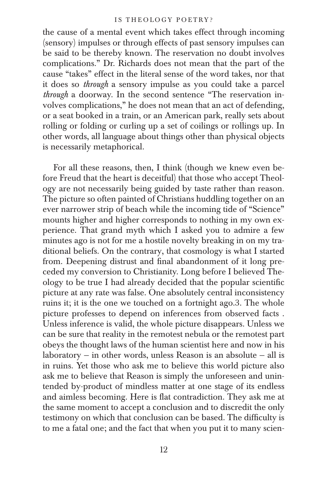#### IS THEOLOGY POETRY?

the cause of a mental event which takes effect through incoming (sensory) impulses or through effects of past sensory impulses can be said to be thereby known. The reservation no doubt involves complications." Dr. Richards does not mean that the part of the cause "takes" effect in the literal sense of the word takes, nor that it does so *through* a sensory impulse as you could take a parcel *through* a doorway. In the second sentence "The reservation involves complications," he does not mean that an act of defending, or a seat booked in a train, or an American park, really sets about rolling or folding or curling up a set of coilings or rollings up. In other words, all language about things other than physical objects is necessarily metaphorical.

For all these reasons, then, I think (though we knew even before Freud that the heart is deceitful) that those who accept Theology are not necessarily being guided by taste rather than reason. The picture so often painted of Christians huddling together on an ever narrower strip of beach while the incoming tide of "Science" mounts higher and higher corresponds to nothing in my own experience. That grand myth which I asked you to admire a few minutes ago is not for me a hostile novelty breaking in on my traditional beliefs. On the contrary, that cosmology is what I started from. Deepening distrust and final abandonment of it long preceded my conversion to Christianity. Long before I believed Theology to be true I had already decided that the popular scientific picture at any rate was false. One absolutely central inconsistency ruins it; it is the one we touched on a fortnight ago.3. The whole picture professes to depend on inferences from observed facts . Unless inference is valid, the whole picture disappears. Unless we can be sure that reality in the remotest nebula or the remotest part obeys the thought laws of the human scientist here and now in his laboratory  $-$  in other words, unless Reason is an absolute  $-$  all is in ruins. Yet those who ask me to believe this world picture also ask me to believe that Reason is simply the unforeseen and unintended by-product of mindless matter at one stage of its endless and aimless becoming. Here is flat contradiction. They ask me at the same moment to accept a conclusion and to discredit the only testimony on which that conclusion can be based. The difficulty is to me a fatal one; and the fact that when you put it to many scien-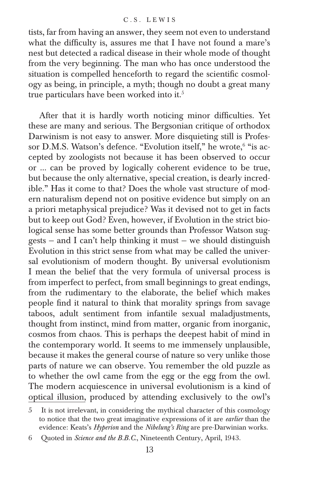#### C.S. L e w is

tists, far from having an answer, they seem not even to understand what the difficulty is, assures me that I have not found a mare's nest but detected a radical disease in their whole mode of thought from the very beginning. The man who has once understood the situation is compelled henceforth to regard the scientific cosmology as being, in principle, a myth; though no doubt a great many true particulars have been worked into it.<sup>5</sup>

After that it is hardly worth noticing minor difficulties. Yet these are many and serious. The Bergsonian critique of orthodox Darwinism is not easy to answer. More disquieting still is Professor D.M.S. Watson's defence. "Evolution itself," he wrote, $^6$  "is accepted by zoologists not because it has been observed to occur or ... can be proved by logically coherent evidence to be true, but because the only alternative, special creation, is dearly incredible." Has it come to that? Does the whole vast structure of modern naturalism depend not on positive evidence but simply on an a priori metaphysical prejudice? Was it devised not to get in facts but to keep out God? Even, however, if Evolution in the strict biological sense has some better grounds than Professor Watson suggests — and I can't help thinking it must — we should distinguish Evolution in this strict sense from what may be called the universal evolutionism of modern thought. By universal evolutionism I mean the belief that the very formula of universal process is from imperfect to perfect, from small beginnings to great endings, from the rudimentary to the elaborate, the belief which makes people find it natural to think that morality springs from savage taboos, adult sentiment from infantile sexual maladjustments, thought from instinct, mind from matter, organic from inorganic, cosmos from chaos. This is perhaps the deepest habit of mind in the contemporary world. It seems to me immensely unplausible, because it makes the general course of nature so very unlike those parts of nature we can observe. You remember the old puzzle as to whether the owl came from the egg or the egg from the owl. The modern acquiescence in universal evolutionism is a kind of optical illusion, produced by attending exclusively to the owl's

<sup>5</sup> It is not irrelevant, in considering the mythical character of this cosmology to notice that the two great imaginative expressions of it are *earlier* than the evidence: Keats's *Hyperion* and the *Nibelung's Ring* are pre-Darwinian works.

<sup>6</sup> Quoted in *Science and the B.B.C*., Nineteenth Century, April, 1943.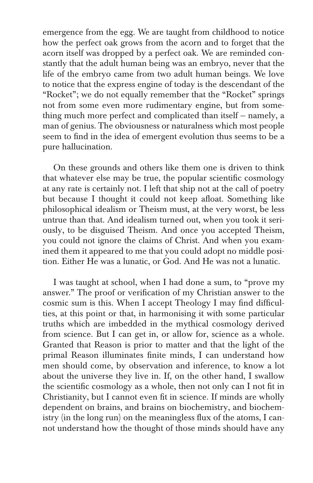emergence from the egg. We are taught from childhood to notice how the perfect oak grows from the acorn and to forget that the acorn itself was dropped by a perfect oak. We are reminded constantly that the adult human being was an embryo, never that the life of the embryo came from two adult human beings. We love to notice that the express engine of today is the descendant of the "Rocket"; we do not equally remember that the "Rocket" springs not from some even more rudimentary engine, but from something much more perfect and complicated than itself — namely, a man of genius. The obviousness or naturalness which most people seem to find in the idea of emergent evolution thus seems to be a pure hallucination.

On these grounds and others like them one is driven to think that whatever else may be true, the popular scientific cosmology at any rate is certainly not. I left that ship not at the call of poetry but because I thought it could not keep afloat. Something like philosophical idealism or Theism must, at the very worst, be less untrue than that. And idealism turned out, when you took it seriously, to be disguised Theism. And once you accepted Theism, you could not ignore the claims of Christ. And when you examined them it appeared to me that you could adopt no middle position. Either He was a lunatic, or God. And He was not a lunatic.

I was taught at school, when I had done a sum, to "prove my answer." The proof or verification of my Christian answer to the cosmic sum is this. When I accept Theology I may find difficulties, at this point or that, in harmonising it with some particular truths which are imbedded in the mythical cosmology derived from science. But I can get in, or allow for, science as a whole. Granted that Reason is prior to matter and that the light of the primal Reason illuminates finite minds, I can understand how men should come, by observation and inference, to know a lot about the universe they live in. If, on the other hand, I swallow the scientific cosmology as a whole, then not only can I not fit in Christianity, but I cannot even fit in science. If minds are wholly dependent on brains, and brains on biochemistry, and biochemistry (in the long run) on the meaningless flux of the atoms, I cannot understand how the thought of those minds should have any